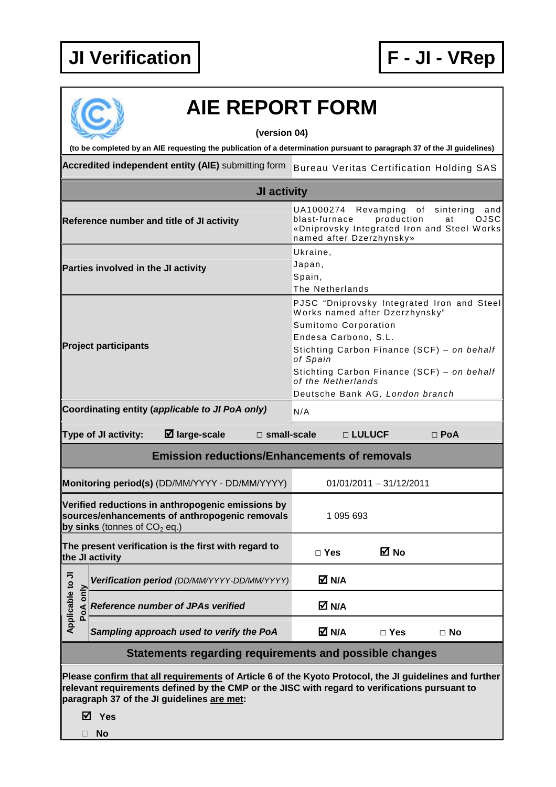

**No** 

## **AIE REPORT FORM**

**(version 04)** 

**(to be completed by an AIE requesting the publication of a determination pursuant to paragraph 37 of the JI guidelines)** 

Accredited independent entity (AIE) submitting form Bureau Veritas Certification Holding SAS

| JI activity                                            |                                                                                                                                                                                                                                                                       |                                                                                                                                                                                                                                                                                               |            |            |  |  |  |
|--------------------------------------------------------|-----------------------------------------------------------------------------------------------------------------------------------------------------------------------------------------------------------------------------------------------------------------------|-----------------------------------------------------------------------------------------------------------------------------------------------------------------------------------------------------------------------------------------------------------------------------------------------|------------|------------|--|--|--|
|                                                        | Reference number and title of JI activity                                                                                                                                                                                                                             | Revamping<br>sintering<br>UA1000274<br>of<br>and<br><b>OJSC</b><br>blast-furnace<br>production<br>at<br>«Dniprovsky Integrated Iron and Steel Works<br>named after Dzerzhynsky»                                                                                                               |            |            |  |  |  |
|                                                        | Parties involved in the JI activity                                                                                                                                                                                                                                   | Ukraine,<br>Japan,<br>Spain,<br>The Netherlands                                                                                                                                                                                                                                               |            |            |  |  |  |
|                                                        | <b>Project participants</b>                                                                                                                                                                                                                                           | PJSC "Dniprovsky Integrated Iron and Steel<br>Works named after Dzerzhynsky"<br>Sumitomo Corporation<br>Endesa Carbono, S.L.<br>Stichting Carbon Finance (SCF) - on behalf<br>of Spain<br>Stichting Carbon Finance (SCF) - on behalf<br>of the Netherlands<br>Deutsche Bank AG, London branch |            |            |  |  |  |
|                                                        | Coordinating entity (applicable to JI PoA only)                                                                                                                                                                                                                       | N/A                                                                                                                                                                                                                                                                                           |            |            |  |  |  |
|                                                        | $\boxtimes$ large-scale<br>Type of JI activity:<br>$\square$ small-scale                                                                                                                                                                                              |                                                                                                                                                                                                                                                                                               | □ LULUCF   | $\Box$ PoA |  |  |  |
|                                                        | <b>Emission reductions/Enhancements of removals</b>                                                                                                                                                                                                                   |                                                                                                                                                                                                                                                                                               |            |            |  |  |  |
|                                                        | Monitoring period(s) (DD/MM/YYYY - DD/MM/YYYY)                                                                                                                                                                                                                        | $01/01/2011 - 31/12/2011$                                                                                                                                                                                                                                                                     |            |            |  |  |  |
|                                                        | Verified reductions in anthropogenic emissions by<br>sources/enhancements of anthropogenic removals<br>by sinks (tonnes of $CO2$ eq.)                                                                                                                                 | 1 095 693                                                                                                                                                                                                                                                                                     |            |            |  |  |  |
|                                                        | The present verification is the first with regard to<br>the JI activity                                                                                                                                                                                               | $\Box$ Yes                                                                                                                                                                                                                                                                                    | M No       |            |  |  |  |
| ال<br>و                                                | Verification period (DD/MM/YYYY-DD/MM/YYYY)                                                                                                                                                                                                                           | M N/A                                                                                                                                                                                                                                                                                         |            |            |  |  |  |
| Σp<br>Ф<br>$\circ$<br>Applicable<br>PoA                | <b>Reference number of JPAs verified</b>                                                                                                                                                                                                                              | M N/A                                                                                                                                                                                                                                                                                         |            |            |  |  |  |
|                                                        | Sampling approach used to verify the PoA                                                                                                                                                                                                                              | M N/A                                                                                                                                                                                                                                                                                         | $\Box$ Yes | $\Box$ No  |  |  |  |
| Statements regarding requirements and possible changes |                                                                                                                                                                                                                                                                       |                                                                                                                                                                                                                                                                                               |            |            |  |  |  |
|                                                        | Please confirm that all requirements of Article 6 of the Kyoto Protocol, the JI guidelines and further<br>relevant requirements defined by the CMP or the JISC with regard to verifications pursuant to<br>paragraph 37 of the JI guidelines are met:<br><b>☑</b> Yes |                                                                                                                                                                                                                                                                                               |            |            |  |  |  |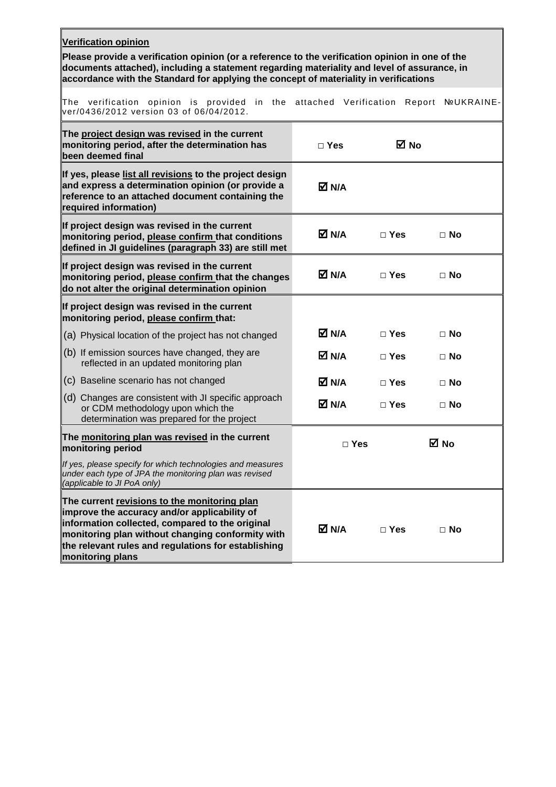| Verification opinion                                                                                                                                                                                                                                                                    |                       |               |                   |  |  |  |
|-----------------------------------------------------------------------------------------------------------------------------------------------------------------------------------------------------------------------------------------------------------------------------------------|-----------------------|---------------|-------------------|--|--|--|
| Please provide a verification opinion (or a reference to the verification opinion in one of the<br>documents attached), including a statement regarding materiality and level of assurance, in<br>accordance with the Standard for applying the concept of materiality in verifications |                       |               |                   |  |  |  |
| verification opinion is provided in the<br>The<br>ver/0436/2012 version 03 of 06/04/2012.                                                                                                                                                                                               | attached Verification | Report        | <b>NºUKRAINE-</b> |  |  |  |
| The project design was revised in the current<br>monitoring period, after the determination has<br>been deemed final                                                                                                                                                                    | $\Box$ Yes            | ⊠ No          |                   |  |  |  |
| If yes, please list all revisions to the project design<br>and express a determination opinion (or provide a<br>reference to an attached document containing the<br>required information)                                                                                               | M N/A                 |               |                   |  |  |  |
| If project design was revised in the current<br>monitoring period, please confirm that conditions<br>defined in JI guidelines (paragraph 33) are still met                                                                                                                              | M N/A                 | $\Box$ Yes    | $\Box$ No         |  |  |  |
| If project design was revised in the current<br>monitoring period, please confirm that the changes<br>do not alter the original determination opinion                                                                                                                                   | M N/A                 | $\square$ Yes | $\Box$ No         |  |  |  |
| If project design was revised in the current<br>monitoring period, please confirm that:                                                                                                                                                                                                 |                       |               |                   |  |  |  |
| (a) Physical location of the project has not changed                                                                                                                                                                                                                                    | M N/A                 | $\Box$ Yes    | $\Box$ No         |  |  |  |
| $(6)$ If emission sources have changed, they are<br>reflected in an updated monitoring plan                                                                                                                                                                                             | M N/A                 | $\Box$ Yes    | $\Box$ No         |  |  |  |
| (c) Baseline scenario has not changed                                                                                                                                                                                                                                                   | M N/A                 | $\square$ Yes | $\Box$ No         |  |  |  |
| (d) Changes are consistent with JI specific approach<br>or CDM methodology upon which the<br>determination was prepared for the project                                                                                                                                                 | $\boxtimes$ N/A       | $\Box$ Yes    | $\Box$ No         |  |  |  |
| The monitoring plan was revised in the current<br>monitoring period                                                                                                                                                                                                                     | $\Box$ Yes            |               | M No              |  |  |  |
| If yes, please specify for which technologies and measures<br>under each type of JPA the monitoring plan was revised<br>(applicable to JI PoA only)                                                                                                                                     |                       |               |                   |  |  |  |
| The current revisions to the monitoring plan<br>improve the accuracy and/or applicability of<br>information collected, compared to the original<br>monitoring plan without changing conformity with<br>the relevant rules and regulations for establishing<br>monitoring plans          | M N/A                 | $\Box$ Yes    | $\Box$ No         |  |  |  |

 $\overline{r}$